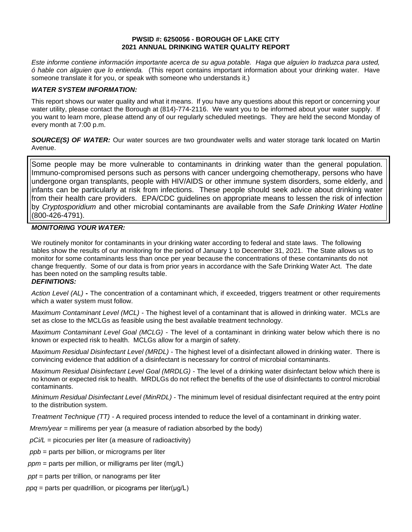#### **PWSID #: 6250056 - BOROUGH OF LAKE CITY 2021 ANNUAL DRINKING WATER QUALITY REPORT**

*Este informe contiene información importante acerca de su agua potable. Haga que alguien lo traduzca para usted, ó hable con alguien que lo entienda.* (This report contains important information about your drinking water. Have someone translate it for you, or speak with someone who understands it.)

#### *WATER SYSTEM INFORMATION:*

This report shows our water quality and what it means. If you have any questions about this report or concerning your water utility, please contact the Borough at (814)-774-2116.We want you to be informed about your water supply. If you want to learn more, please attend any of our regularly scheduled meetings. They are held the second Monday of every month at 7:00 p.m.

**SOURCE(S) OF WATER:** Our water sources are two groundwater wells and water storage tank located on Martin Avenue.

Some people may be more vulnerable to contaminants in drinking water than the general population. Immuno-compromised persons such as persons with cancer undergoing chemotherapy, persons who have undergone organ transplants, people with HIV/AIDS or other immune system disorders, some elderly, and infants can be particularly at risk from infections. These people should seek advice about drinking water from their health care providers. EPA/CDC guidelines on appropriate means to lessen the risk of infection by *Cryptosporidium* and other microbial contaminants are available from the *Safe Drinking Water Hotline* (800-426-4791).

# *MONITORING YOUR WATER:*

We routinely monitor for contaminants in your drinking water according to federal and state laws. The following tables show the results of our monitoring for the period of January 1 to December 31, 2021. The State allows us to monitor for some contaminants less than once per year because the concentrations of these contaminants do not change frequently. Some of our data is from prior years in accordance with the Safe Drinking Water Act. The date has been noted on the sampling results table.

#### *DEFINITIONS:*

*Action Level (AL)* **-** The concentration of a contaminant which, if exceeded, triggers treatment or other requirements which a water system must follow.

*Maximum Contaminant Level (MCL)* - The highest level of a contaminant that is allowed in drinking water. MCLs are set as close to the MCLGs as feasible using the best available treatment technology.

*Maximum Contaminant Level Goal (MCLG)* - The level of a contaminant in drinking water below which there is no known or expected risk to health. MCLGs allow for a margin of safety.

*Maximum Residual Disinfectant Level (MRDL)* - The highest level of a disinfectant allowed in drinking water. There is convincing evidence that addition of a disinfectant is necessary for control of microbial contaminants.

*Maximum Residual Disinfectant Level Goal (MRDLG)* - The level of a drinking water disinfectant below which there is no known or expected risk to health. MRDLGs do not reflect the benefits of the use of disinfectants to control microbial contaminants.

*Minimum Residual Disinfectant Level (MinRDL) -* The minimum level of residual disinfectant required at the entry point to the distribution system.

*Treatment Technique (TT) -* A required process intended to reduce the level of a contaminant in drinking water.

 *Mrem/year =* millirems per year (a measure of radiation absorbed by the body)

 *pCi/L =* picocuries per liter (a measure of radioactivity)

- *ppb* = parts per billion, or micrograms per liter
- *ppm* = parts per million, or milligrams per liter (mg/L)
- *ppt* = parts per trillion, or nanograms per liter
- *ppq* = parts per quadrillion, or picograms per liter(μg/L)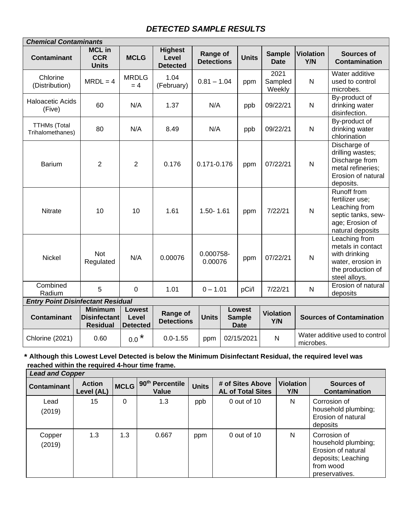# *DETECTED SAMPLE RESULTS*

| <b>Chemical Contaminants</b>             |                                                          |                                           |                                            |                               |                                               |              |                              |                                 |                                                                                                                |
|------------------------------------------|----------------------------------------------------------|-------------------------------------------|--------------------------------------------|-------------------------------|-----------------------------------------------|--------------|------------------------------|---------------------------------|----------------------------------------------------------------------------------------------------------------|
| <b>Contaminant</b>                       | <b>MCL in</b><br><b>CCR</b><br><b>Units</b>              | <b>MCLG</b>                               | <b>Highest</b><br>Level<br><b>Detected</b> | Range of<br><b>Detections</b> |                                               | <b>Units</b> | <b>Sample</b><br><b>Date</b> | <b>Violation</b><br>Y/N         | <b>Sources of</b><br><b>Contamination</b>                                                                      |
| Chlorine<br>(Distribution)               | $MRDL = 4$                                               | <b>MRDLG</b><br>$=4$                      | 1.04<br>(February)                         | $0.81 - 1.04$                 |                                               | ppm          | 2021<br>Sampled<br>Weekly    | $\mathsf{N}$                    | Water additive<br>used to control<br>microbes.                                                                 |
| <b>Haloacetic Acids</b><br>(Five)        | 60                                                       | N/A                                       | 1.37                                       | N/A                           |                                               | ppb          | 09/22/21                     | $\mathsf{N}$                    | By-product of<br>drinking water<br>disinfection.                                                               |
| <b>TTHMs (Total</b><br>Trihalomethanes)  | 80                                                       | N/A                                       | 8.49                                       | N/A                           |                                               | ppb          | 09/22/21                     | $\mathsf{N}$                    | By-product of<br>drinking water<br>chlorination                                                                |
| <b>Barium</b>                            | $\overline{2}$                                           | $\overline{2}$                            | 0.176                                      | 0.171-0.176                   |                                               | ppm          | 07/22/21                     | $\mathsf{N}$                    | Discharge of<br>drilling wastes;<br>Discharge from<br>metal refineries;<br>Erosion of natural<br>deposits.     |
| Nitrate                                  | 10                                                       | 10                                        | 1.61                                       | $1.50 - 1.61$                 |                                               | ppm          | 7/22/21                      | $\mathsf{N}$                    | Runoff from<br>fertilizer use;<br>Leaching from<br>septic tanks, sew-<br>age; Erosion of<br>natural deposits   |
| <b>Nickel</b>                            | Not<br>Regulated                                         | N/A                                       | 0.00076                                    | 0.000758-<br>0.00076          |                                               | ppm          | 07/22/21                     | $\mathsf{N}$                    | Leaching from<br>metals in contact<br>with drinking<br>water, erosion in<br>the production of<br>steel alloys. |
| Combined<br>Radium                       | 5                                                        | $\mathbf 0$                               | 1.01                                       | $0 - 1.01$                    |                                               | pCi/l        | 7/22/21                      | $\mathsf{N}$                    | Erosion of natural<br>deposits                                                                                 |
| <b>Entry Point Disinfectant Residual</b> |                                                          |                                           |                                            |                               |                                               |              |                              |                                 |                                                                                                                |
| <b>Contaminant</b>                       | <b>Minimum</b><br><b>Disinfectant</b><br><b>Residual</b> | <b>Lowest</b><br>Level<br><b>Detected</b> | Range of<br><b>Detections</b>              | <b>Units</b>                  | <b>Lowest</b><br><b>Sample</b><br><b>Date</b> |              | <b>Violation</b><br>Y/N      | <b>Sources of Contamination</b> |                                                                                                                |
| Chlorine (2021)                          | 0.60                                                     | $0.0$ $^{\star}$                          | $0.0 - 1.55$                               | ppm                           |                                               | 02/15/2021   | $\mathsf{N}$                 | microbes.                       | Water additive used to control                                                                                 |

# **\* Although this Lowest Level Detected is below the Minimum Disinfectant Residual, the required level was reached within the required 4-hour time frame.**

| <b>Lead and Copper</b> |                             |             |                          |              |                                              |                  |                                                                                                                |
|------------------------|-----------------------------|-------------|--------------------------|--------------|----------------------------------------------|------------------|----------------------------------------------------------------------------------------------------------------|
| <b>Contaminant</b>     | <b>Action</b><br>Level (AL) | <b>MCLG</b> | 90th Percentile<br>Value | <b>Units</b> | # of Sites Above<br><b>AL of Total Sites</b> | Violation<br>Y/N | Sources of<br><b>Contamination</b>                                                                             |
| Lead<br>(2019)         | 15                          | 0           | 1.3                      | ppb          | $0$ out of 10                                | N                | Corrosion of<br>household plumbing;<br>Erosion of natural<br>deposits                                          |
| Copper<br>(2019)       | 1.3                         | 1.3         | 0.667                    | ppm          | $0$ out of 10                                | N                | Corrosion of<br>household plumbing;<br>Erosion of natural<br>deposits; Leaching<br>from wood<br>preservatives. |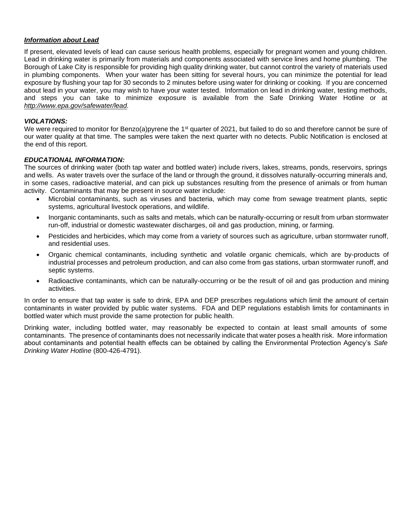#### *Information about Lead*

If present, elevated levels of lead can cause serious health problems, especially for pregnant women and young children. Lead in drinking water is primarily from materials and components associated with service lines and home plumbing. The Borough of Lake City is responsible for providing high quality drinking water, but cannot control the variety of materials used in plumbing components. When your water has been sitting for several hours, you can minimize the potential for lead exposure by flushing your tap for 30 seconds to 2 minutes before using water for drinking or cooking. If you are concerned about lead in your water, you may wish to have your water tested. Information on lead in drinking water, testing methods, and steps you can take to minimize exposure is available from the Safe Drinking Water Hotline or at *[http://www.epa.gov/safewater/lead.](about:blank)*

#### *VIOLATIONS:*

We were required to monitor for Benzo(a)pyrene the 1<sup>st</sup> quarter of 2021, but failed to do so and therefore cannot be sure of our water quality at that time. The samples were taken the next quarter with no detects. Public Notification is enclosed at the end of this report.

#### *EDUCATIONAL INFORMATION:*

The sources of drinking water (both tap water and bottled water) include rivers, lakes, streams, ponds, reservoirs, springs and wells. As water travels over the surface of the land or through the ground, it dissolves naturally-occurring minerals and, in some cases, radioactive material, and can pick up substances resulting from the presence of animals or from human activity. Contaminants that may be present in source water include:

- Microbial contaminants, such as viruses and bacteria, which may come from sewage treatment plants, septic systems, agricultural livestock operations, and wildlife.
- Inorganic contaminants, such as salts and metals, which can be naturally-occurring or result from urban stormwater run-off, industrial or domestic wastewater discharges, oil and gas production, mining, or farming.
- Pesticides and herbicides, which may come from a variety of sources such as agriculture, urban stormwater runoff, and residential uses.
- Organic chemical contaminants, including synthetic and volatile organic chemicals, which are by-products of industrial processes and petroleum production, and can also come from gas stations, urban stormwater runoff, and septic systems.
- Radioactive contaminants, which can be naturally-occurring or be the result of oil and gas production and mining activities.

In order to ensure that tap water is safe to drink, EPA and DEP prescribes regulations which limit the amount of certain contaminants in water provided by public water systems. FDA and DEP regulations establish limits for contaminants in bottled water which must provide the same protection for public health.

Drinking water, including bottled water, may reasonably be expected to contain at least small amounts of some contaminants. The presence of contaminants does not necessarily indicate that water poses a health risk. More information about contaminants and potential health effects can be obtained by calling the Environmental Protection Agency's *Safe Drinking Water Hotline* (800-426-4791).